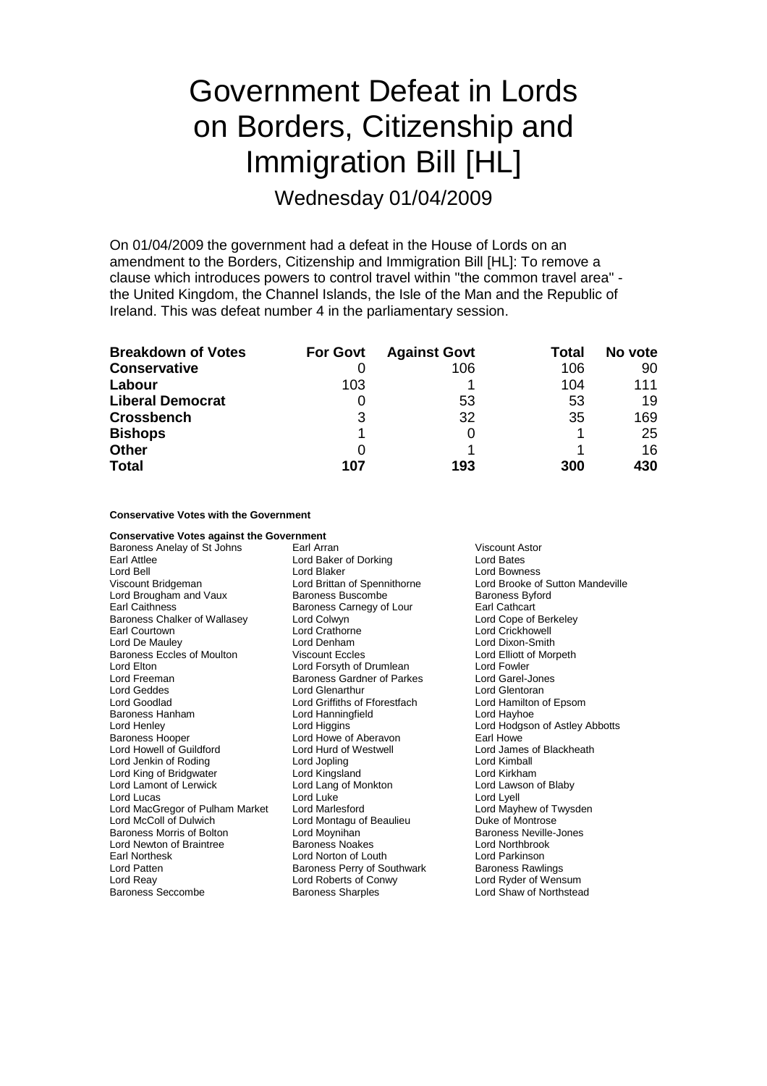# Government Defeat in Lords on Borders, Citizenship and Immigration Bill [HL]

Wednesday 01/04/2009

On 01/04/2009 the government had a defeat in the House of Lords on an amendment to the Borders, Citizenship and Immigration Bill [HL]: To remove a clause which introduces powers to control travel within "the common travel area" the United Kingdom, the Channel Islands, the Isle of the Man and the Republic of Ireland. This was defeat number 4 in the parliamentary session.

| <b>Breakdown of Votes</b> | <b>For Govt</b> | <b>Against Govt</b> | Total | No vote |
|---------------------------|-----------------|---------------------|-------|---------|
| <b>Conservative</b>       |                 | 106                 | 106   | 90      |
| Labour                    | 103             |                     | 104   | 111     |
| <b>Liberal Democrat</b>   |                 | 53                  | 53    | 19      |
| <b>Crossbench</b>         | 3               | 32                  | 35    | 169     |
| <b>Bishops</b>            |                 |                     |       | 25      |
| <b>Other</b>              | 0               |                     |       | 16      |
| <b>Total</b>              | 107             | 193                 | 300   | 430     |

#### **Conservative Votes with the Government**

**Conservative Votes against the Government**<br>Baroness Anelay of St Johns [1767] Earl Arran Baroness Anelay of St Johns Earl Arran Earl Arran Viscount Astor Earl Attlee **Lord Earl Attlee** Lord Baker of Dorking **Lord Bates**<br>
Lord Bell **Lord Baker** Lord Blaker **Lord Bown** Lord Bell Lord Blaker Cord Blaker Cord Bowness<br>
Viscount Bridgeman Cord Brittan of Spennithorne Lord Brooke of Lord Brougham and Vaux Baroness Buscombe Baroness Byford Earl Caithness<br>
Baroness Chalker of Wallasey Colomyn Baroness Colomyn Carl Cathcart<br>
Lord Cope of Berkeley Baroness Chalker of Wallasey Lord Colwyn<br>
Farl Courtown Lord Crathorne Lord De Mauley **Lord Denham** Lord Denham Lord Dixon-Smith<br>
Baroness Eccles of Moulton Viscount Eccles **Lord Elliott of Morpeth** Baroness Eccles of Moulton Viscount Eccles Lord Elton Lord Forsyth of Drumlean Lord Fowler Lord Geddes **Lord Glenarthur** Lord Glenarthur Lord Geddes Lord General Accord Cord General Lord General Accord Cord General Accord Cord General Accord General Accord General Accord General Accord General Accord General Acc Lord Goodlad **Lord Griffiths of Fforestfach** Lord Hamilton Cord Hamilton Cord Hamilton Cord Hamilton Cord Hamilton of Epsomme Lord Hamilton Cord Hamilton Cord Epsomme Lord Hamilton Cord Hamilton Cord Hamilton Cord Hamilton Baroness Hanham Lord Hanning<br>
Lord Henley Lord Higgins Baroness Hooper **Lord Howe of Aberavon** Earl Howe Cord Howe of Aberavon **Earl Howe Lord Howe Cord Howe Cord Howe** Cord Hurd of Westwell Lord Jenkin of Roding Lord Jopling Lord Kimball Lord King of Bridgwater **Lord Kingsland** Lord Cord Kingsland Lord Lang of Monkton<br>Lord Lamont of Lerwick **Lord Lang of Monkton** Lord Lawson of Blaby Lord Lamont of Lerwick Lord Lang of Monkton Cord Laws<br>
Lord Lord Lord Lord Lord Luke Lord Lord Lord Lyell Lord Lucas Lord Luke<br>
Lord Lord MacGregor of Pulham Market Lord Marlesford Lord Market Lord Mayhew of Twysden Lord MacGregor of Pulham Market Lord McColl of Dulwich Lord Montagu of Beaulieu Duke of Montrose Baroness Morris of Bolton **Lord Moynihan**<br>
Lord Newton of Braintree **Baroness Noakes** Baroness Noakes Lord Northbrook Lord Newton of Braintree **Baroness Noakes** Lord Northbrook<br>
Farl Northesk **Raintree** Lord Norton of Louth Lord Parkinson Earl Northesk **Lord Lord Norton of Louth Cord Parkinson**<br>
Lord Patten **Cord Patten**<br>
Baroness Perry of Southwark Baroness Rawlings Lord Patten **Baroness Perry of Southwark** Baroness Rawlings<br>
Lord Reav **Baroness Perry of Southwark** Baroness Rawlings<br>
Lord Ryder of Wensum Lord Reay Lord Roberts of Conwy<br>
Baroness Seccombe Baroness Sharples

Baroness Gardner of Parkes Baroness Sharples **Baroness Sharples** Lord Shaw of Northstead

Lord Brooke of Sutton Mandeville Lord Crickhowell Lord Hodgson of Astley Abbotts Lord James of Blackheath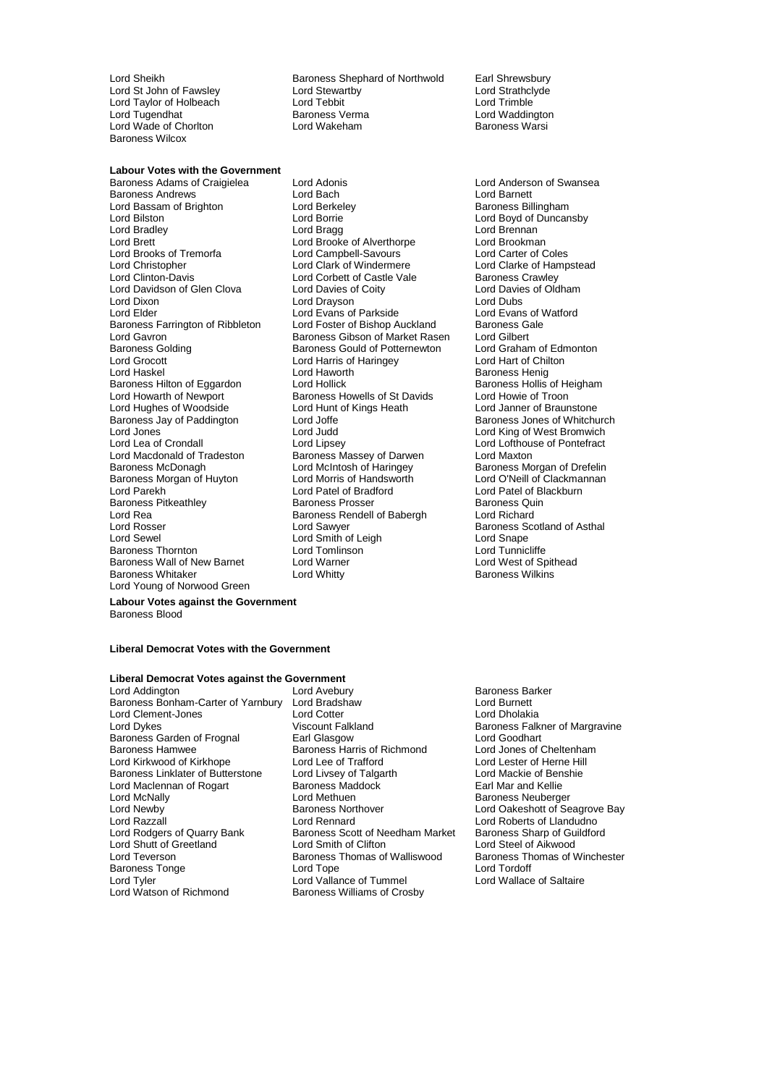Lord Wade of Chorlton Baroness Wilcox

Lord Sheikh Baroness Shephard of Northwold Earl Shrewsbury<br>Lord St Lord Stewartby Lord Strathclyde Lord St John of Fawsley **Lord Stewartby Conduct Strathclick** Lord Strathcly<br>Cord Taylor of Holbeach **Lord Tebbit** Lord Tebbit Lord Taylor of Holbeach Lord Tebbit Lord Trimble Lord Tugendhat **Baroness Verma** Cord Waddington Lord Waddington<br>
Lord Wade of Chorlton **Baroness Verman Lord Wakeham** Cord Water Baroness Warsi

### **Labour Votes with the Government**

Lord Bassam of Brighton Lord Berkel<br>Lord Bilston Baroness Baroness Barries Lord Brooks of Tremorfa<br>
Lord Christopher Lord Clark of Windermere Lord Davidson of Glen Clova Lord Elder **Lord Evans of Parkside** Lord Grocott Lord Harris of Haringey<br>
Lord Haskel Lord Haworth Baroness Morgan of Huyton Lord Morris of Handsw<br>Lord Parekh Lord O'Neill Lord O'Neill of Bradford Lord Rea Baroness Rendell of Babergh Lord Rosser Lord Rosser Baroness Wall of New Barnet Lord Warne<br>Baroness Whitaker Lord Whitty Lord Young of Norwood Green

Baroness Adams of Craigielea Lord Adonis Lord Anderson of Swansea Baroness Andrews Lord Bach Lord Barnett Lord Bradley **Lord Bragg Lord Brennan** Lord Brett **Lord Brooke of Alverthorpe** Lord Brookman<br>
Lord Brooks of Tremorfa **Lord Campbell-Savours** Lord Carter of Coles Lord Christopher **Lord Clark of Windermere** Lord Clarke of Hampstead<br>
Lord Clinton-Davis **Lord Corbett of Castle Vale** Baroness Crawley Lord Corbett of Castle Vale Baroness Crawley<br>
Lord Davies of Coity<br>
Lord Davies of Oldham Lord Dixon Lord Drayson Lord Dubs<br>
Lord Elder Lord Lord Evans of Parkside Lord Lord Evans of Watford Baroness Farrington of Ribbleton Lord Foster of Bishop Auckland Baroness Gale<br>
Lord Gayron Lord Gilbert Baroness Gibson of Market Rasen Lord Gilbert Lord Gavron <u>Carl Carl Baroness Gibson of Market Rasen and</u> Calbert Lord Gilbert Carl Baroness Gould of Potternewton Lord Graham of Edmonton Baroness Golding Baroness Gould of Potternewton Lord Graham of Edmonton Lord Graham of Edmonton Lord Harris of Haringey Lord Harris of Haringey Baroness Hilton of Eggardon Lord Hollick Baroness Hollis of Heigham Baroness Hollis of Heigham Baroness Hollis<br>
Lord Howarth of Newport Baroness Howells of St Davids Lord Howie of Troon Baroness Howells of St Davids Lord Hughes of Woodside **Lord Hunt of Kings Heath** Lord Janner of Braunstone<br>Baroness Jay of Paddington Lord Joffe **Lord Lord Active Contract Contract Contract** Baroness Jones of Whitch Baroness Jay of Paddington **Lord Joffe** Controller Marting Baroness Jones of Whitchurch<br>
Lord Jones Controller Lord Judd<br>
Lord Jones Controller Lord Intervention Lord Jones Lord Judd Lord King of West Bromwich Lord Lea of Crondall **Lord Lipsey** Lord Lipsey **Lord Lofthouse of Pontefract**<br>
Lord Macdonald of Tradeston Baroness Massey of Darwen Lord Maxton Lord Macdonald of Tradeston **Baroness Massey of Darwen** Lord Maxton<br>Baroness McDonagh **Baroness Lord McIntosh of Haringey** Baroness Mc Lord McIntosh of Haringey Baroness Morgan of Drefelin<br>Lord Morris of Handsworth Lord O'Neill of Clackmannan Lord Patel of Bradford Lord Patel of Blackburn<br>
Baroness Prosser Carel Baroness Quin Baroness Pitkeathley **Baroness Prosser** Baroness Quinter Baroness Quinter Baroness Quinter<br>Baroness Rendell of Babergh Baroness Rendell of Babergh Lord Richard Lord Sewel **Lord Smith of Leigh** Lord Solution Cord Snape<br>
Lord Tom Lord Tom Lord Tom Lord Tom Lord Tom Lord Tunnicliffe Baroness Thornton Lord Tomlinson Lord Tunnicliffe

Lord Bilston Lord Borrie Lord Boyd of Duncansby Baroness Henig<br>Baroness Hollis of Heigham Baroness Scotland of Asthal Baroness Wilkins

**Labour Votes against the Government** Baroness Blood

#### **Liberal Democrat Votes with the Government**

#### **Liberal Democrat Votes against the Government**

Baroness Bonham-Carter of Yarnbury Lord Bradshaw Lord Burnett Lord Clement-Jones<br>
Lord Dykes<br>
Viscount Falkland Baroness Garden of Frognal Earl Glasgow Earl Charlotter Coodhart<br>
Baroness Hamwee Baroness Harris of Richmond Lord Jones of Cheltenham Baroness Hamwee The Baroness Harris of Richmond Lord Jones of Cheltenham<br>Lord Kirkwood of Kirkhope Lord Lee of Trafford Lord Lester of Herne Hill Lord Kirkwood of Kirkhope Baroness Linklater of Butterstone Lord Livsey of Talgarth Lord Mackie of Benshie<br>
Lord Maclennan of Rogart Baroness Maddock Barl Mar and Kellie Lord Maclennan of Rogart Baroness Mac<br>Lord McNally Baroness Mac Lord McNally <sup>C</sup> Lord Methuen Baroness Neuberger<br>
Lord Newby **Baroness Northover** Cord Oakeshott of Se Lord Razzall Lord Rennard Lord Roberts of Llandudno Lord Shutt of Greetland Lord Smith of Clifton Lord Steel of Aikwood<br>Lord Steel of Aikwood Baroness Thomas of Walliswood Baroness Thomas of Winchester Lord Teverson **Baroness Thomas of Walliswood** Baroness Thomas of Walliswood Baroness Thomas of Walliswood Baroness Thomas of Walliswood Baroness Thomas of Walliswood Baroness Thomas of Walliswood Baroness Thomas of Wallisw Baroness Tonge The Lord Tope<br>
Lord Tyler<br>
Lord Vallance of Tummel

Lord Addington Lord Avebury Baroness Barker Exaroness Scott of Needham Market Baroness Sharp of Guarry Baroness Sharp of Guarry Baroness Sharp of Guarry B Lord Watson of Richmond Baroness Williams of Crosby

Baroness Falkner of Margravine Lord Oakeshott of Seagrove Bay Lord Wallace of Saltaire